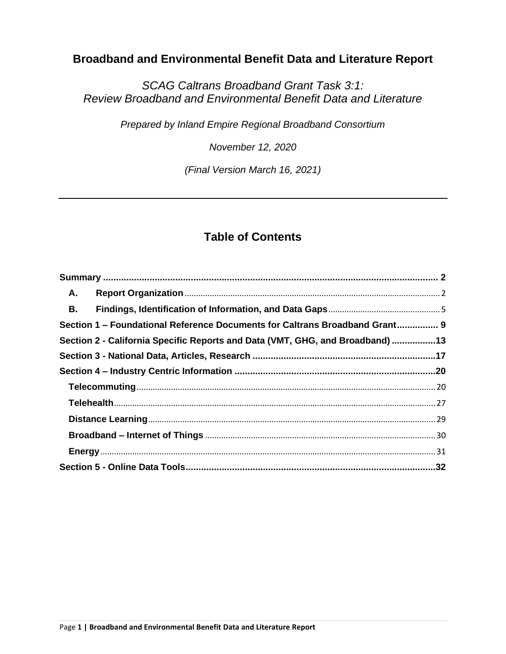# **Broadband and Environmental Benefit Data and Literature Report**

*SCAG Caltrans Broadband Grant Task 3:1: Review Broadband and Environmental Benefit Data and Literature*

*Prepared by Inland Empire Regional Broadband Consortium*

*November 12, 2020*

*(Final Version March 16, 2021)*

# **Table of Contents**

| Α.                                                                            |                                                                             |  |  |  |
|-------------------------------------------------------------------------------|-----------------------------------------------------------------------------|--|--|--|
| <b>B.</b>                                                                     |                                                                             |  |  |  |
|                                                                               | Section 1 - Foundational Reference Documents for Caltrans Broadband Grant 9 |  |  |  |
| Section 2 - California Specific Reports and Data (VMT, GHG, and Broadband) 13 |                                                                             |  |  |  |
|                                                                               |                                                                             |  |  |  |
|                                                                               |                                                                             |  |  |  |
|                                                                               |                                                                             |  |  |  |
|                                                                               |                                                                             |  |  |  |
|                                                                               |                                                                             |  |  |  |
|                                                                               |                                                                             |  |  |  |
|                                                                               |                                                                             |  |  |  |
|                                                                               |                                                                             |  |  |  |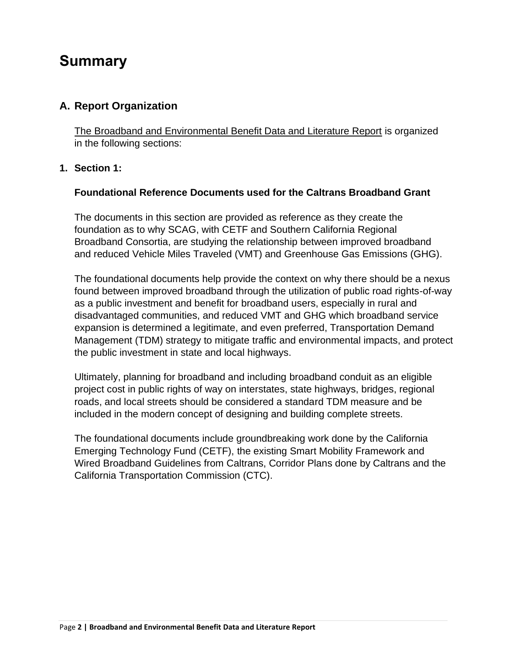# <span id="page-1-0"></span>**Summary**

# <span id="page-1-1"></span>**A. Report Organization**

The Broadband and Environmental Benefit Data and Literature Report is organized in the following sections:

## **1. Section 1:**

### **Foundational Reference Documents used for the Caltrans Broadband Grant**

The documents in this section are provided as reference as they create the foundation as to why SCAG, with CETF and Southern California Regional Broadband Consortia, are studying the relationship between improved broadband and reduced Vehicle Miles Traveled (VMT) and Greenhouse Gas Emissions (GHG).

The foundational documents help provide the context on why there should be a nexus found between improved broadband through the utilization of public road rights-of-way as a public investment and benefit for broadband users, especially in rural and disadvantaged communities, and reduced VMT and GHG which broadband service expansion is determined a legitimate, and even preferred, Transportation Demand Management (TDM) strategy to mitigate traffic and environmental impacts, and protect the public investment in state and local highways.

Ultimately, planning for broadband and including broadband conduit as an eligible project cost in public rights of way on interstates, state highways, bridges, regional roads, and local streets should be considered a standard TDM measure and be included in the modern concept of designing and building complete streets.

The foundational documents include groundbreaking work done by the California Emerging Technology Fund (CETF), the existing Smart Mobility Framework and Wired Broadband Guidelines from Caltrans, Corridor Plans done by Caltrans and the California Transportation Commission (CTC).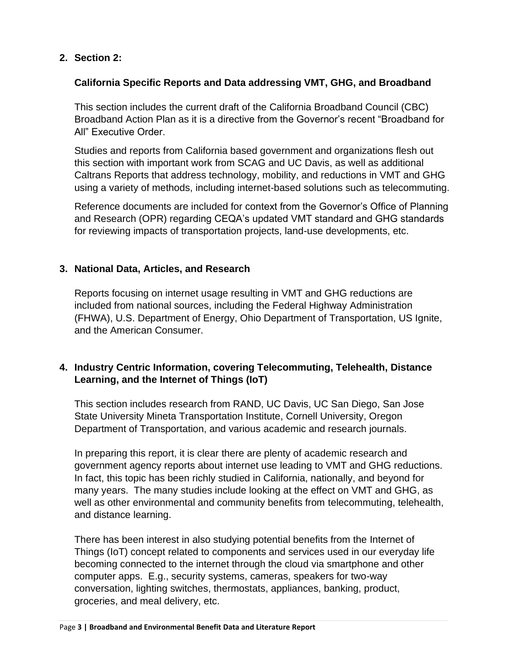## **2. Section 2:**

### **California Specific Reports and Data addressing VMT, GHG, and Broadband**

This section includes the current draft of the California Broadband Council (CBC) Broadband Action Plan as it is a directive from the Governor's recent "Broadband for All" Executive Order

Studies and reports from California based government and organizations flesh out this section with important work from SCAG and UC Davis, as well as additional Caltrans Reports that address technology, mobility, and reductions in VMT and GHG using a variety of methods, including internet-based solutions such as telecommuting.

Reference documents are included for context from the Governor's Office of Planning and Research (OPR) regarding CEQA's updated VMT standard and GHG standards for reviewing impacts of transportation projects, land-use developments, etc.

## **3. National Data, Articles, and Research**

Reports focusing on internet usage resulting in VMT and GHG reductions are included from national sources, including the Federal Highway Administration (FHWA), U.S. Department of Energy, Ohio Department of Transportation, US Ignite, and the American Consumer.

## **4. Industry Centric Information, covering Telecommuting, Telehealth, Distance Learning, and the Internet of Things (IoT)**

This section includes research from RAND, UC Davis, UC San Diego, San Jose State University Mineta Transportation Institute, Cornell University, Oregon Department of Transportation, and various academic and research journals.

In preparing this report, it is clear there are plenty of academic research and government agency reports about internet use leading to VMT and GHG reductions. In fact, this topic has been richly studied in California, nationally, and beyond for many years. The many studies include looking at the effect on VMT and GHG, as well as other environmental and community benefits from telecommuting, telehealth, and distance learning.

There has been interest in also studying potential benefits from the Internet of Things (IoT) concept related to components and services used in our everyday life becoming connected to the internet through the cloud via smartphone and other computer apps. E.g., security systems, cameras, speakers for two-way conversation, lighting switches, thermostats, appliances, banking, product, groceries, and meal delivery, etc.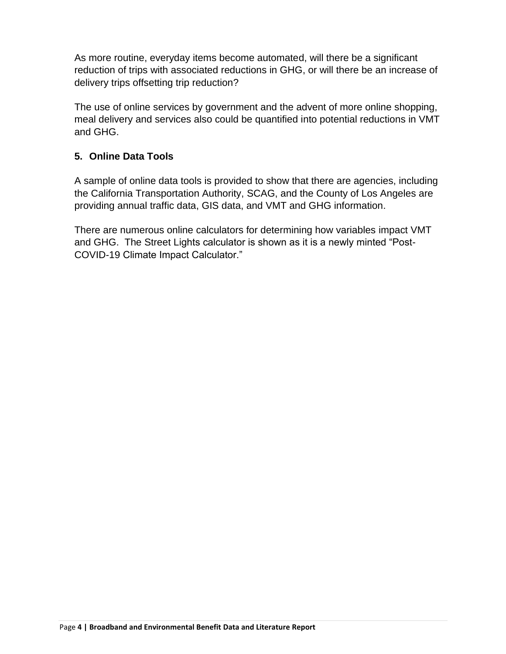As more routine, everyday items become automated, will there be a significant reduction of trips with associated reductions in GHG, or will there be an increase of delivery trips offsetting trip reduction?

The use of online services by government and the advent of more online shopping, meal delivery and services also could be quantified into potential reductions in VMT and GHG.

# **5. Online Data Tools**

A sample of online data tools is provided to show that there are agencies, including the California Transportation Authority, SCAG, and the County of Los Angeles are providing annual traffic data, GIS data, and VMT and GHG information.

There are numerous online calculators for determining how variables impact VMT and GHG. The Street Lights calculator is shown as it is a newly minted "Post-COVID-19 Climate Impact Calculator."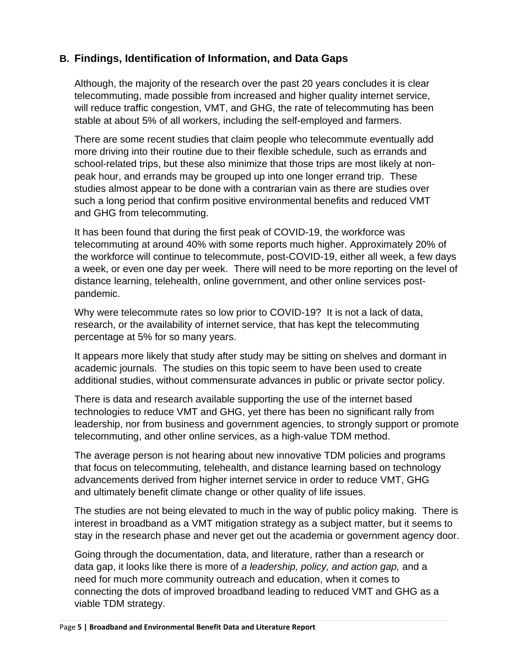# <span id="page-4-0"></span>**B. Findings, Identification of Information, and Data Gaps**

Although, the majority of the research over the past 20 years concludes it is clear telecommuting, made possible from increased and higher quality internet service, will reduce traffic congestion, VMT, and GHG, the rate of telecommuting has been stable at about 5% of all workers, including the self-employed and farmers.

There are some recent studies that claim people who telecommute eventually add more driving into their routine due to their flexible schedule, such as errands and school-related trips, but these also minimize that those trips are most likely at nonpeak hour, and errands may be grouped up into one longer errand trip. These studies almost appear to be done with a contrarian vain as there are studies over such a long period that confirm positive environmental benefits and reduced VMT and GHG from telecommuting.

It has been found that during the first peak of COVID-19, the workforce was telecommuting at around 40% with some reports much higher. Approximately 20% of the workforce will continue to telecommute, post-COVID-19, either all week, a few days a week, or even one day per week. There will need to be more reporting on the level of distance learning, telehealth, online government, and other online services postpandemic.

Why were telecommute rates so low prior to COVID-19? It is not a lack of data, research, or the availability of internet service, that has kept the telecommuting percentage at 5% for so many years.

It appears more likely that study after study may be sitting on shelves and dormant in academic journals. The studies on this topic seem to have been used to create additional studies, without commensurate advances in public or private sector policy.

There is data and research available supporting the use of the internet based technologies to reduce VMT and GHG, yet there has been no significant rally from leadership, nor from business and government agencies, to strongly support or promote telecommuting, and other online services, as a high-value TDM method.

The average person is not hearing about new innovative TDM policies and programs that focus on telecommuting, telehealth, and distance learning based on technology advancements derived from higher internet service in order to reduce VMT, GHG and ultimately benefit climate change or other quality of life issues.

The studies are not being elevated to much in the way of public policy making. There is interest in broadband as a VMT mitigation strategy as a subject matter, but it seems to stay in the research phase and never get out the academia or government agency door.

Going through the documentation, data, and literature, rather than a research or data gap, it looks like there is more of *a leadership, policy, and action gap,* and a need for much more community outreach and education, when it comes to connecting the dots of improved broadband leading to reduced VMT and GHG as a viable TDM strategy.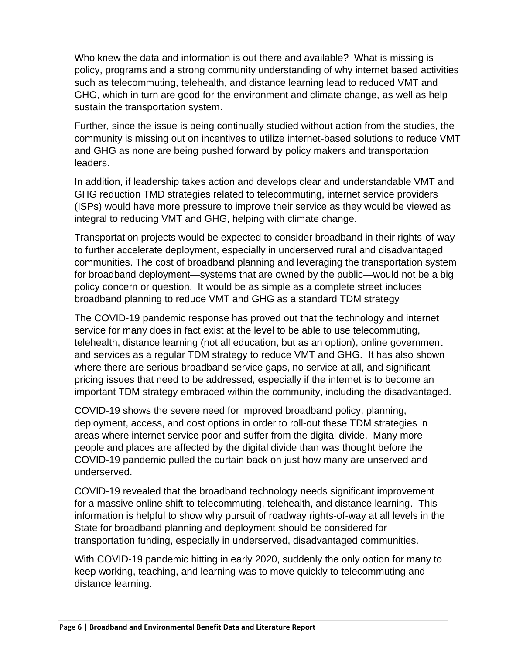Who knew the data and information is out there and available? What is missing is policy, programs and a strong community understanding of why internet based activities such as telecommuting, telehealth, and distance learning lead to reduced VMT and GHG, which in turn are good for the environment and climate change, as well as help sustain the transportation system.

Further, since the issue is being continually studied without action from the studies, the community is missing out on incentives to utilize internet-based solutions to reduce VMT and GHG as none are being pushed forward by policy makers and transportation leaders.

In addition, if leadership takes action and develops clear and understandable VMT and GHG reduction TMD strategies related to telecommuting, internet service providers (ISPs) would have more pressure to improve their service as they would be viewed as integral to reducing VMT and GHG, helping with climate change.

Transportation projects would be expected to consider broadband in their rights-of-way to further accelerate deployment, especially in underserved rural and disadvantaged communities. The cost of broadband planning and leveraging the transportation system for broadband deployment—systems that are owned by the public—would not be a big policy concern or question. It would be as simple as a complete street includes broadband planning to reduce VMT and GHG as a standard TDM strategy

The COVID-19 pandemic response has proved out that the technology and internet service for many does in fact exist at the level to be able to use telecommuting, telehealth, distance learning (not all education, but as an option), online government and services as a regular TDM strategy to reduce VMT and GHG. It has also shown where there are serious broadband service gaps, no service at all, and significant pricing issues that need to be addressed, especially if the internet is to become an important TDM strategy embraced within the community, including the disadvantaged.

COVID-19 shows the severe need for improved broadband policy, planning, deployment, access, and cost options in order to roll-out these TDM strategies in areas where internet service poor and suffer from the digital divide. Many more people and places are affected by the digital divide than was thought before the COVID-19 pandemic pulled the curtain back on just how many are unserved and underserved.

COVID-19 revealed that the broadband technology needs significant improvement for a massive online shift to telecommuting, telehealth, and distance learning. This information is helpful to show why pursuit of roadway rights-of-way at all levels in the State for broadband planning and deployment should be considered for transportation funding, especially in underserved, disadvantaged communities.

With COVID-19 pandemic hitting in early 2020, suddenly the only option for many to keep working, teaching, and learning was to move quickly to telecommuting and distance learning.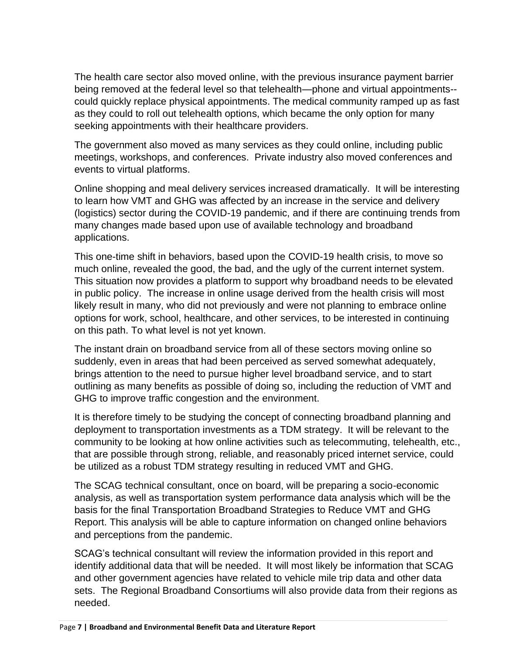The health care sector also moved online, with the previous insurance payment barrier being removed at the federal level so that telehealth—phone and virtual appointments- could quickly replace physical appointments. The medical community ramped up as fast as they could to roll out telehealth options, which became the only option for many seeking appointments with their healthcare providers.

The government also moved as many services as they could online, including public meetings, workshops, and conferences. Private industry also moved conferences and events to virtual platforms.

Online shopping and meal delivery services increased dramatically. It will be interesting to learn how VMT and GHG was affected by an increase in the service and delivery (logistics) sector during the COVID-19 pandemic, and if there are continuing trends from many changes made based upon use of available technology and broadband applications.

This one-time shift in behaviors, based upon the COVID-19 health crisis, to move so much online, revealed the good, the bad, and the ugly of the current internet system. This situation now provides a platform to support why broadband needs to be elevated in public policy. The increase in online usage derived from the health crisis will most likely result in many, who did not previously and were not planning to embrace online options for work, school, healthcare, and other services, to be interested in continuing on this path. To what level is not yet known.

The instant drain on broadband service from all of these sectors moving online so suddenly, even in areas that had been perceived as served somewhat adequately, brings attention to the need to pursue higher level broadband service, and to start outlining as many benefits as possible of doing so, including the reduction of VMT and GHG to improve traffic congestion and the environment.

It is therefore timely to be studying the concept of connecting broadband planning and deployment to transportation investments as a TDM strategy. It will be relevant to the community to be looking at how online activities such as telecommuting, telehealth, etc., that are possible through strong, reliable, and reasonably priced internet service, could be utilized as a robust TDM strategy resulting in reduced VMT and GHG.

The SCAG technical consultant, once on board, will be preparing a socio-economic analysis, as well as transportation system performance data analysis which will be the basis for the final Transportation Broadband Strategies to Reduce VMT and GHG Report. This analysis will be able to capture information on changed online behaviors and perceptions from the pandemic.

SCAG's technical consultant will review the information provided in this report and identify additional data that will be needed. It will most likely be information that SCAG and other government agencies have related to vehicle mile trip data and other data sets. The Regional Broadband Consortiums will also provide data from their regions as needed.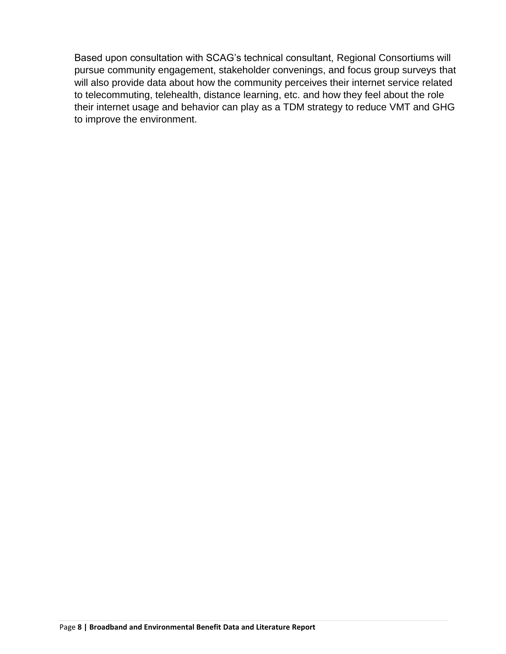Based upon consultation with SCAG's technical consultant, Regional Consortiums will pursue community engagement, stakeholder convenings, and focus group surveys that will also provide data about how the community perceives their internet service related to telecommuting, telehealth, distance learning, etc. and how they feel about the role their internet usage and behavior can play as a TDM strategy to reduce VMT and GHG to improve the environment.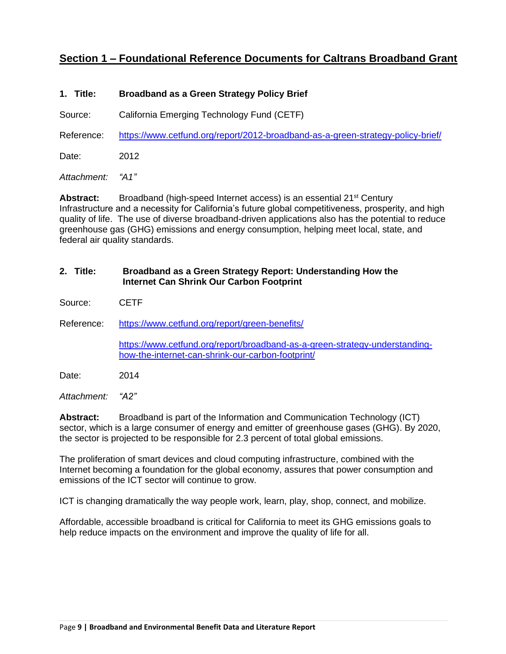# <span id="page-8-0"></span>**Section 1 – Foundational Reference Documents for Caltrans Broadband Grant**

#### **1. Title: Broadband as a Green Strategy Policy Brief**

Source: California Emerging Technology Fund (CETF)

Reference: <https://www.cetfund.org/report/2012-broadband-as-a-green-strategy-policy-brief/>

Date: 2012

*Attachment: "A1"*

**Abstract:** Broadband (high-speed Internet access) is an essential 21<sup>st</sup> Century Infrastructure and a necessity for California's future global competitiveness, prosperity, and high quality of life. The use of diverse broadband-driven applications also has the potential to reduce greenhouse gas (GHG) emissions and energy consumption, helping meet local, state, and federal air quality standards.

#### **2. Title: Broadband as a Green Strategy Report: Understanding How the Internet Can Shrink Our Carbon Footprint**

Source: CETF

Reference: <https://www.cetfund.org/report/green-benefits/>

[https://www.cetfund.org/report/broadband-as-a-green-strategy-understanding](https://www.cetfund.org/report/broadband-as-a-green-strategy-understanding-how-the-internet-can-shrink-our-carbon-footprint/)[how-the-internet-can-shrink-our-carbon-footprint/](https://www.cetfund.org/report/broadband-as-a-green-strategy-understanding-how-the-internet-can-shrink-our-carbon-footprint/)

Date: 2014

*Attachment: "A2"*

**Abstract:** Broadband is part of the Information and Communication Technology (ICT) sector, which is a large consumer of energy and emitter of greenhouse gases (GHG). By 2020, the sector is projected to be responsible for 2.3 percent of total global emissions.

The proliferation of smart devices and cloud computing infrastructure, combined with the Internet becoming a foundation for the global economy, assures that power consumption and emissions of the ICT sector will continue to grow.

ICT is changing dramatically the way people work, learn, play, shop, connect, and mobilize.

Affordable, accessible broadband is critical for California to meet its GHG emissions goals to help reduce impacts on the environment and improve the quality of life for all.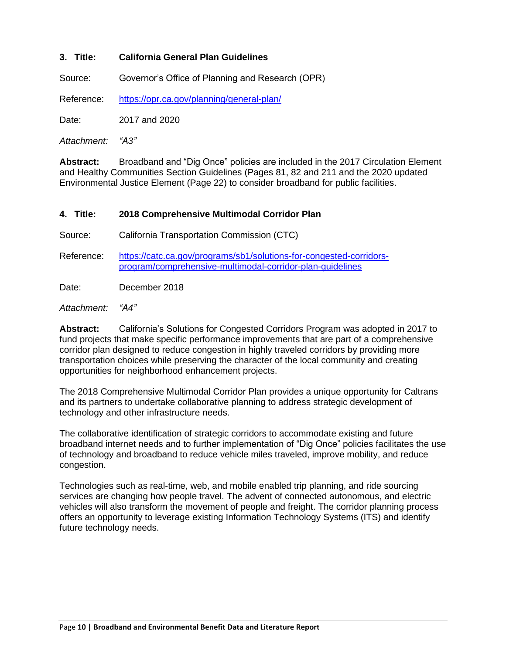#### **3. Title: California General Plan Guidelines**

Source: Governor's Office of Planning and Research (OPR)

Reference: <https://opr.ca.gov/planning/general-plan/>

Date: 2017 and 2020

*Attachment: "A3"*

**Abstract:** Broadband and "Dig Once" policies are included in the 2017 Circulation Element and Healthy Communities Section Guidelines (Pages 81, 82 and 211 and the 2020 updated Environmental Justice Element (Page 22) to consider broadband for public facilities.

#### **4. Title: 2018 Comprehensive Multimodal Corridor Plan**

Source: California Transportation Commission (CTC)

Reference: [https://catc.ca.gov/programs/sb1/solutions-for-congested-corridors](https://catc.ca.gov/programs/sb1/solutions-for-congested-corridors-program/comprehensive-multimodal-corridor-plan-guidelines)[program/comprehensive-multimodal-corridor-plan-guidelines](https://catc.ca.gov/programs/sb1/solutions-for-congested-corridors-program/comprehensive-multimodal-corridor-plan-guidelines)

Date: December 2018

#### *Attachment: "A4"*

**Abstract:** California's Solutions for Congested Corridors Program was adopted in 2017 to fund projects that make specific performance improvements that are part of a comprehensive corridor plan designed to reduce congestion in highly traveled corridors by providing more transportation choices while preserving the character of the local community and creating opportunities for neighborhood enhancement projects.

The 2018 Comprehensive Multimodal Corridor Plan provides a unique opportunity for Caltrans and its partners to undertake collaborative planning to address strategic development of technology and other infrastructure needs.

The collaborative identification of strategic corridors to accommodate existing and future broadband internet needs and to further implementation of "Dig Once" policies facilitates the use of technology and broadband to reduce vehicle miles traveled, improve mobility, and reduce congestion.

Technologies such as real-time, web, and mobile enabled trip planning, and ride sourcing services are changing how people travel. The advent of connected autonomous, and electric vehicles will also transform the movement of people and freight. The corridor planning process offers an opportunity to leverage existing Information Technology Systems (ITS) and identify future technology needs.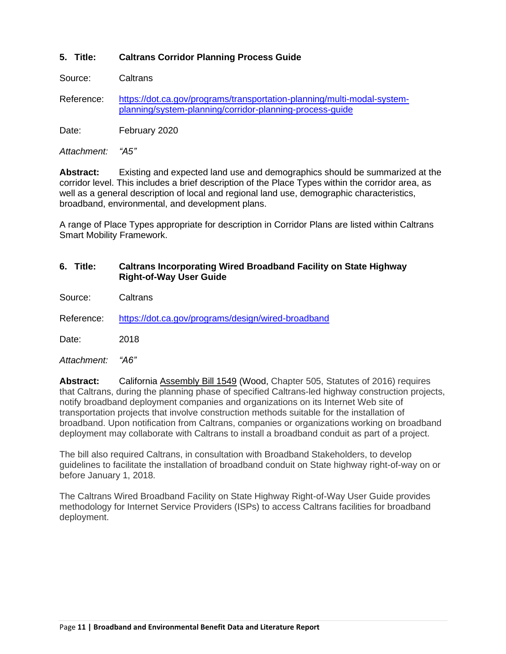#### **5. Title: Caltrans Corridor Planning Process Guide**

Source: Caltrans

Reference: [https://dot.ca.gov/programs/transportation-planning/multi-modal-system](https://dot.ca.gov/programs/transportation-planning/multi-modal-system-planning/system-planning/corridor-planning-process-guide)[planning/system-planning/corridor-planning-process-guide](https://dot.ca.gov/programs/transportation-planning/multi-modal-system-planning/system-planning/corridor-planning-process-guide)

Date: February 2020

*Attachment: "A5"*

**Abstract:** Existing and expected land use and demographics should be summarized at the corridor level. This includes a brief description of the Place Types within the corridor area, as well as a general description of local and regional land use, demographic characteristics, broadband, environmental, and development plans.

A range of Place Types appropriate for description in Corridor Plans are listed within Caltrans Smart Mobility Framework.

#### **6. Title: Caltrans Incorporating Wired Broadband Facility on State Highway Right-of-Way User Guide**

- Source: Caltrans
- Reference: <https://dot.ca.gov/programs/design/wired-broadband>

Date: 2018

*Attachment: "A6"*

**Abstract:** California [Assembly Bill 1549](https://leginfo.legislature.ca.gov/faces/billNavClient.xhtml?bill_id=201520160AB1549) (Wood, Chapter 505, Statutes of 2016) requires that Caltrans, during the planning phase of specified Caltrans-led highway construction projects, notify broadband deployment companies and organizations on its Internet Web site of transportation projects that involve construction methods suitable for the installation of broadband. Upon notification from Caltrans, companies or organizations working on broadband deployment may collaborate with Caltrans to install a broadband conduit as part of a project.

The bill also required Caltrans, in consultation with Broadband Stakeholders, to develop guidelines to facilitate the installation of broadband conduit on State highway right-of-way on or before January 1, 2018.

The Caltrans Wired Broadband Facility on State Highway Right-of-Way User Guide provides methodology for Internet Service Providers (ISPs) to access Caltrans facilities for broadband deployment.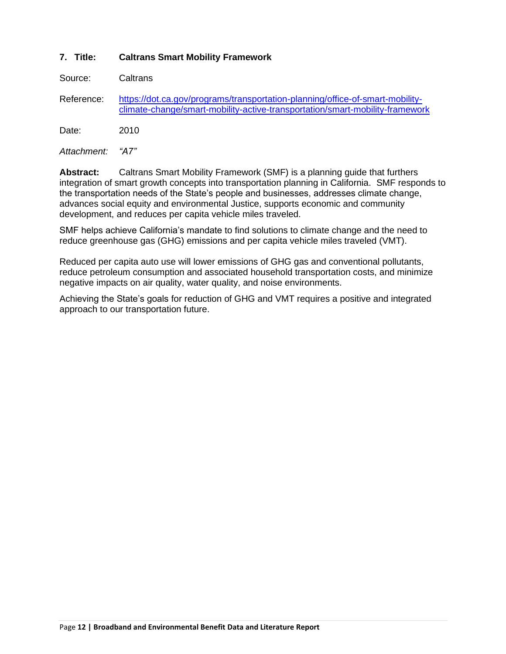#### **7. Title: Caltrans Smart Mobility Framework**

Source: Caltrans

Reference: [https://dot.ca.gov/programs/transportation-planning/office-of-smart-mobility](https://dot.ca.gov/programs/transportation-planning/office-of-smart-mobility-climate-change/smart-mobility-active-transportation/smart-mobility-framework)[climate-change/smart-mobility-active-transportation/smart-mobility-framework](https://dot.ca.gov/programs/transportation-planning/office-of-smart-mobility-climate-change/smart-mobility-active-transportation/smart-mobility-framework)

Date: 2010

*Attachment: "A7"*

**Abstract:** Caltrans Smart Mobility Framework (SMF) is a planning guide that furthers integration of smart growth concepts into transportation planning in California. SMF responds to the transportation needs of the State's people and businesses, addresses climate change, advances social equity and environmental Justice, supports economic and community development, and reduces per capita vehicle miles traveled.

SMF helps achieve California's mandate to find solutions to climate change and the need to reduce greenhouse gas (GHG) emissions and per capita vehicle miles traveled (VMT).

Reduced per capita auto use will lower emissions of GHG gas and conventional pollutants, reduce petroleum consumption and associated household transportation costs, and minimize negative impacts on air quality, water quality, and noise environments.

Achieving the State's goals for reduction of GHG and VMT requires a positive and integrated approach to our transportation future.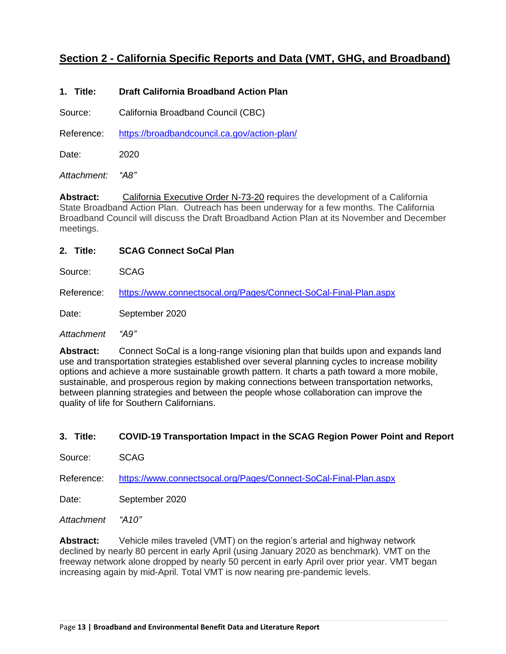# <span id="page-12-0"></span>**Section 2 - California Specific Reports and Data (VMT, GHG, and Broadband)**

#### **1. Title: Draft California Broadband Action Plan**

Source: California Broadband Council (CBC)

Reference: <https://broadbandcouncil.ca.gov/action-plan/>

Date: 2020

*Attachment: "A8"*

**Abstract:** California [Executive](https://gcc01.safelinks.protection.outlook.com/?url=https%3A%2F%2Fwww.gov.ca.gov%2Fwp-content%2Fuploads%2F2020%2F08%2F8.14.20-EO-N-73-20.pdf&data=02%7C01%7CJules.Stein%40state.ca.gov%7C9ff23d4a80d84382fb2b08d85e44d2f1%7C52b26be47f5d4e1cbaed8cf75b7570d5%7C0%7C0%7C637362997916594452&sdata=RHfDcRSjoiJQK85UZPD8eSQR33XCC9j7ITO9aGIRpf8%3D&reserved=0) Order N-73-20 requires the development of a California State Broadband Action Plan. Outreach has been underway for a few months. The California Broadband Council will discuss the Draft Broadband Action Plan at its November and December meetings.

**2. Title: SCAG Connect SoCal Plan**

Source: SCAG

Reference: <https://www.connectsocal.org/Pages/Connect-SoCal-Final-Plan.aspx>

Date: September 2020

*Attachment "A9"*

**Abstract:** Connect SoCal is a long-range visioning plan that builds upon and expands land use and transportation strategies established over several planning cycles to increase mobility options and achieve a more sustainable growth pattern. It charts a path toward a more mobile, sustainable, and prosperous region by making connections between transportation networks, between planning strategies and between the people whose collaboration can improve the quality of life for Southern Californians.

**3. Title: COVID-19 Transportation Impact in the SCAG Region Power Point and Report**

Source: SCAG

Reference: <https://www.connectsocal.org/Pages/Connect-SoCal-Final-Plan.aspx>

Date: September 2020

*Attachment "A10"*

**Abstract:** Vehicle miles traveled (VMT) on the region's arterial and highway network declined by nearly 80 percent in early April (using January 2020 as benchmark). VMT on the freeway network alone dropped by nearly 50 percent in early April over prior year. VMT began increasing again by mid-April. Total VMT is now nearing pre-pandemic levels.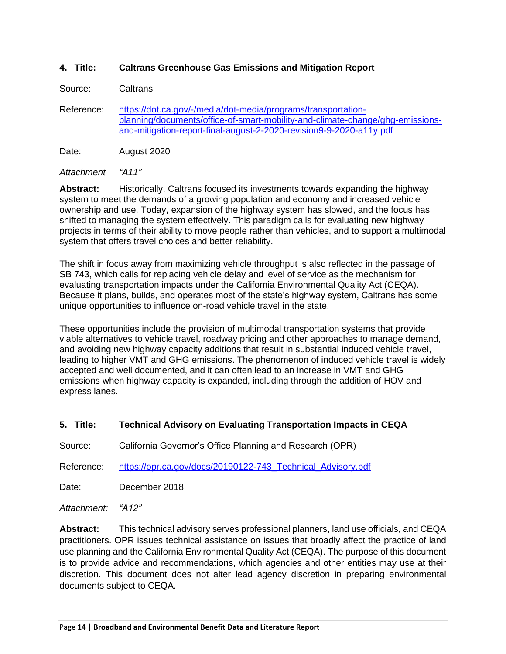#### **4. Title: Caltrans Greenhouse Gas Emissions and Mitigation Report**

Source: Caltrans

Reference: [https://dot.ca.gov/-/media/dot-media/programs/transportation](https://dot.ca.gov/-/media/dot-media/programs/transportation-planning/documents/office-of-smart-mobility-and-climate-change/ghg-emissions-and-mitigation-report-final-august-2-2020-revision9-9-2020-a11y.pdf)[planning/documents/office-of-smart-mobility-and-climate-change/ghg-emissions](https://dot.ca.gov/-/media/dot-media/programs/transportation-planning/documents/office-of-smart-mobility-and-climate-change/ghg-emissions-and-mitigation-report-final-august-2-2020-revision9-9-2020-a11y.pdf)[and-mitigation-report-final-august-2-2020-revision9-9-2020-a11y.pdf](https://dot.ca.gov/-/media/dot-media/programs/transportation-planning/documents/office-of-smart-mobility-and-climate-change/ghg-emissions-and-mitigation-report-final-august-2-2020-revision9-9-2020-a11y.pdf)

Date: August 2020

*Attachment "A11"*

**Abstract:** Historically, Caltrans focused its investments towards expanding the highway system to meet the demands of a growing population and economy and increased vehicle ownership and use. Today, expansion of the highway system has slowed, and the focus has shifted to managing the system effectively. This paradigm calls for evaluating new highway projects in terms of their ability to move people rather than vehicles, and to support a multimodal system that offers travel choices and better reliability.

The shift in focus away from maximizing vehicle throughput is also reflected in the passage of SB 743, which calls for replacing vehicle delay and level of service as the mechanism for evaluating transportation impacts under the California Environmental Quality Act (CEQA). Because it plans, builds, and operates most of the state's highway system, Caltrans has some unique opportunities to influence on-road vehicle travel in the state.

These opportunities include the provision of multimodal transportation systems that provide viable alternatives to vehicle travel, roadway pricing and other approaches to manage demand, and avoiding new highway capacity additions that result in substantial induced vehicle travel, leading to higher VMT and GHG emissions. The phenomenon of induced vehicle travel is widely accepted and well documented, and it can often lead to an increase in VMT and GHG emissions when highway capacity is expanded, including through the addition of HOV and express lanes.

#### **5. Title: Technical Advisory on Evaluating Transportation Impacts in CEQA**

Source: California Governor's Office Planning and Research (OPR)

Reference: https://opr.ca.gov/docs/20190122-743 Technical Advisory.pdf

Date: December 2018

*Attachment: "A12"*

**Abstract:** This technical advisory serves professional planners, land use officials, and CEQA practitioners. OPR issues technical assistance on issues that broadly affect the practice of land use planning and the California Environmental Quality Act (CEQA). The purpose of this document is to provide advice and recommendations, which agencies and other entities may use at their discretion. This document does not alter lead agency discretion in preparing environmental documents subject to CEQA.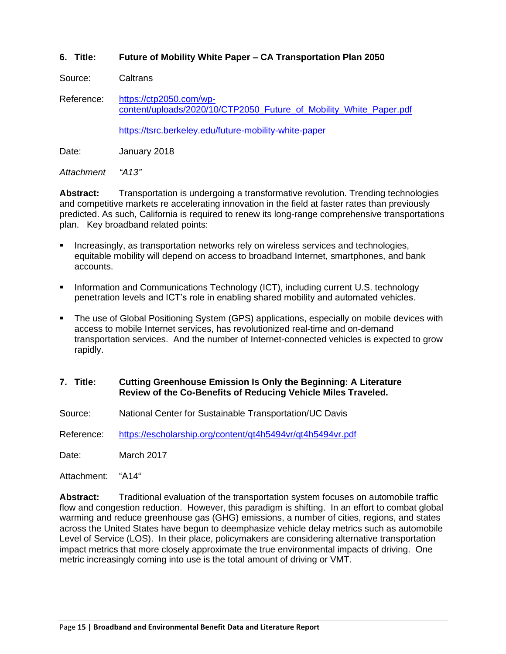#### **6. Title: Future of Mobility White Paper – CA Transportation Plan 2050**

Source: Caltrans

Reference: [https://ctp2050.com/wp](https://ctp2050.com/wp-content/uploads/2020/10/CTP2050_Future_of_Mobility_White_Paper.pdf)[content/uploads/2020/10/CTP2050\\_Future\\_of\\_Mobility\\_White\\_Paper.pdf](https://ctp2050.com/wp-content/uploads/2020/10/CTP2050_Future_of_Mobility_White_Paper.pdf)

<https://tsrc.berkeley.edu/future-mobility-white-paper>

Date: **January 2018** 

*Attachment "A13"*

Abstract: Transportation is undergoing a transformative revolution. Trending technologies and competitive markets re accelerating innovation in the field at faster rates than previously predicted. As such, California is required to renew its long-range comprehensive transportations plan. Key broadband related points:

- Increasingly, as transportation networks rely on wireless services and technologies, equitable mobility will depend on access to broadband Internet, smartphones, and bank accounts.
- **Information and Communications Technology (ICT), including current U.S. technology** penetration levels and ICT's role in enabling shared mobility and automated vehicles.
- **•** The use of Global Positioning System (GPS) applications, especially on mobile devices with access to mobile Internet services, has revolutionized real-time and on-demand transportation services. And the number of Internet-connected vehicles is expected to grow rapidly.
- **7. Title: Cutting Greenhouse Emission Is Only the Beginning: A Literature Review of the Co-Benefits of Reducing Vehicle Miles Traveled.**
- Source: National Center for Sustainable Transportation/UC Davis

Reference: <https://escholarship.org/content/qt4h5494vr/qt4h5494vr.pdf>

Date: March 2017

Attachment: "A14"

**Abstract:** Traditional evaluation of the transportation system focuses on automobile traffic flow and congestion reduction. However, this paradigm is shifting. In an effort to combat global warming and reduce greenhouse gas (GHG) emissions, a number of cities, regions, and states across the United States have begun to deemphasize vehicle delay metrics such as automobile Level of Service (LOS). In their place, policymakers are considering alternative transportation impact metrics that more closely approximate the true environmental impacts of driving. One metric increasingly coming into use is the total amount of driving or VMT.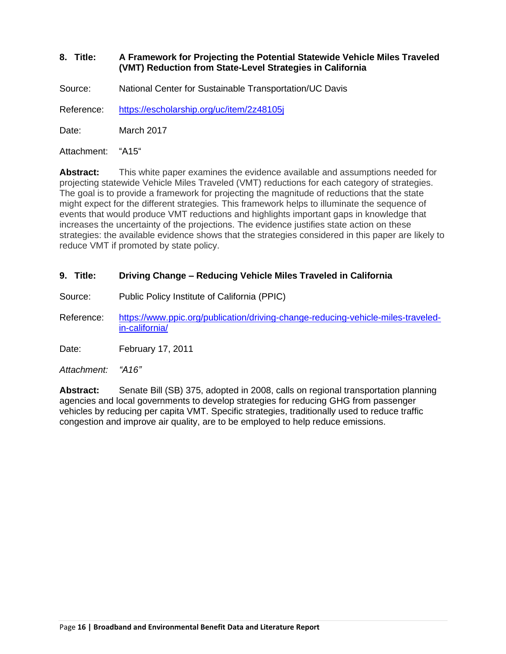#### **8. Title: A Framework for Projecting the Potential Statewide Vehicle Miles Traveled (VMT) Reduction from State-Level Strategies in California**

Source: National Center for Sustainable Transportation/UC Davis

Reference: <https://escholarship.org/uc/item/2z48105j>

Date: March 2017

Attachment: "A15"

**Abstract:** This white paper examines the evidence available and assumptions needed for projecting statewide Vehicle Miles Traveled (VMT) reductions for each category of strategies. The goal is to provide a framework for projecting the magnitude of reductions that the state might expect for the different strategies. This framework helps to illuminate the sequence of events that would produce VMT reductions and highlights important gaps in knowledge that increases the uncertainty of the projections. The evidence justifies state action on these strategies: the available evidence shows that the strategies considered in this paper are likely to reduce VMT if promoted by state policy.

#### **9. Title: Driving Change – Reducing Vehicle Miles Traveled in California**

Source: Public Policy Institute of California (PPIC)

Reference: [https://www.ppic.org/publication/driving-change-reducing-vehicle-miles-traveled](https://www.ppic.org/publication/driving-change-reducing-vehicle-miles-traveled-in-california/)[in-california/](https://www.ppic.org/publication/driving-change-reducing-vehicle-miles-traveled-in-california/)

Date: February 17, 2011

*Attachment: "A16"*

**Abstract:** Senate Bill (SB) 375, adopted in 2008, calls on regional transportation planning agencies and local governments to develop strategies for reducing GHG from passenger vehicles by reducing per capita VMT. Specific strategies, traditionally used to reduce traffic congestion and improve air quality, are to be employed to help reduce emissions.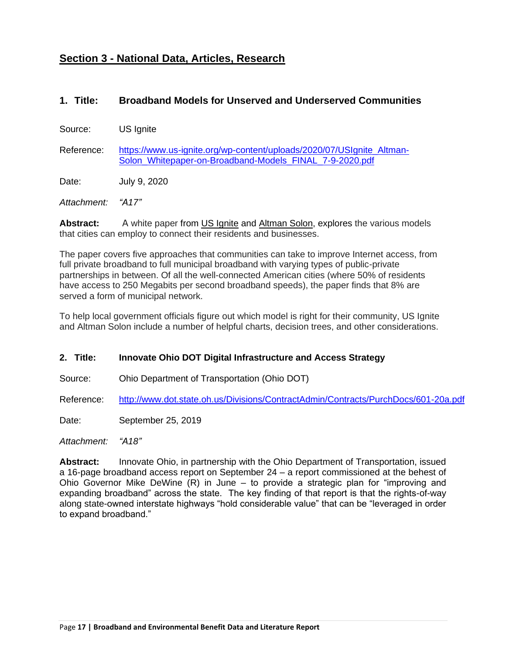# <span id="page-16-0"></span>**Section 3 - National Data, Articles, Research**

### **1. Title: Broadband Models for Unserved and Underserved Communities**

Source: US Ignite

Reference: [https://www.us-ignite.org/wp-content/uploads/2020/07/USIgnite\\_Altman-](https://www.us-ignite.org/wp-content/uploads/2020/07/USIgnite_Altman-Solon_Whitepaper-on-Broadband-Models_FINAL_7-9-2020.pdf)[Solon\\_Whitepaper-on-Broadband-Models\\_FINAL\\_7-9-2020.pdf](https://www.us-ignite.org/wp-content/uploads/2020/07/USIgnite_Altman-Solon_Whitepaper-on-Broadband-Models_FINAL_7-9-2020.pdf)

Date: July 9, 2020

*Attachment: "A17"*

**Abstract:** A white paper from [US Ignite](https://www.us-ignite.org/) and [Altman Solon,](https://www.altmansolon.com/) explores the various models that cities can employ to connect their residents and businesses.

The paper covers five approaches that communities can take to improve Internet access, from full private broadband to full municipal broadband with varying types of public-private partnerships in between. Of all the well-connected American cities (where 50% of residents have access to 250 Megabits per second broadband speeds), the paper finds that 8% are served a form of municipal network.

To help local government officials figure out which model is right for their community, US Ignite and Altman Solon include a number of helpful charts, decision trees, and other considerations.

#### **2. Title: Innovate Ohio DOT Digital Infrastructure and Access Strategy**

Source: Ohio Department of Transportation (Ohio DOT)

Reference: <http://www.dot.state.oh.us/Divisions/ContractAdmin/Contracts/PurchDocs/601-20a.pdf>

Date: September 25, 2019

*Attachment: "A18"*

**Abstract:** Innovate Ohio, in partnership with the Ohio Department of Transportation, issued a 16-page broadband access report on September 24 – a report commissioned at the behest of Ohio Governor Mike DeWine (R) in June – to provide a strategic plan for "improving and expanding broadband" across the state. The key finding of that report is that the rights-of-way along state-owned interstate highways "hold considerable value" that can be "leveraged in order to expand broadband."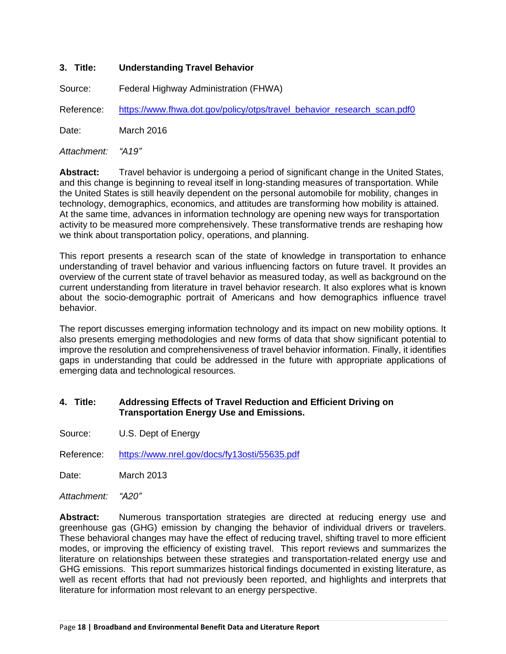#### **3. Title: Understanding Travel Behavior**

Source: Federal Highway Administration (FHWA)

Reference: [https://www.fhwa.dot.gov/policy/otps/travel\\_behavior\\_research\\_scan.pdf0](https://www.fhwa.dot.gov/policy/otps/travel_behavior_research_scan.pdf0)

Date: March 2016

*Attachment: "A19"*

**Abstract:** Travel behavior is undergoing a period of significant change in the United States, and this change is beginning to reveal itself in long-standing measures of transportation. While the United States is still heavily dependent on the personal automobile for mobility, changes in technology, demographics, economics, and attitudes are transforming how mobility is attained. At the same time, advances in information technology are opening new ways for transportation activity to be measured more comprehensively. These transformative trends are reshaping how we think about transportation policy, operations, and planning.

This report presents a research scan of the state of knowledge in transportation to enhance understanding of travel behavior and various influencing factors on future travel. It provides an overview of the current state of travel behavior as measured today, as well as background on the current understanding from literature in travel behavior research. It also explores what is known about the socio-demographic portrait of Americans and how demographics influence travel behavior.

The report discusses emerging information technology and its impact on new mobility options. It also presents emerging methodologies and new forms of data that show significant potential to improve the resolution and comprehensiveness of travel behavior information. Finally, it identifies gaps in understanding that could be addressed in the future with appropriate applications of emerging data and technological resources.

#### **4. Title: Addressing Effects of Travel Reduction and Efficient Driving on Transportation Energy Use and Emissions.**

Source: U.S. Dept of Energy

Reference: <https://www.nrel.gov/docs/fy13osti/55635.pdf>

Date: March 2013

*Attachment: "A20"*

**Abstract:** Numerous transportation strategies are directed at reducing energy use and greenhouse gas (GHG) emission by changing the behavior of individual drivers or travelers. These behavioral changes may have the effect of reducing travel, shifting travel to more efficient modes, or improving the efficiency of existing travel. This report reviews and summarizes the literature on relationships between these strategies and transportation-related energy use and GHG emissions. This report summarizes historical findings documented in existing literature, as well as recent efforts that had not previously been reported, and highlights and interprets that literature for information most relevant to an energy perspective.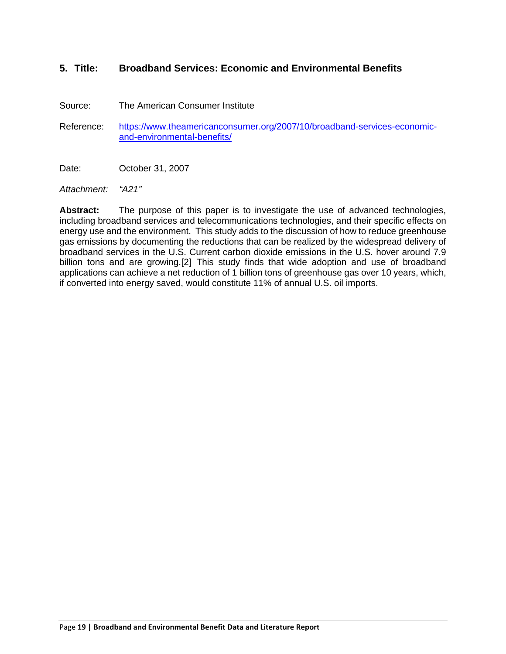### **5. Title: Broadband Services: Economic and Environmental Benefits**

Source: The American Consumer Institute

Reference: [https://www.theamericanconsumer.org/2007/10/broadband-services-economic](https://www.theamericanconsumer.org/2007/10/broadband-services-economic-and-environmental-benefits/)[and-environmental-benefits/](https://www.theamericanconsumer.org/2007/10/broadband-services-economic-and-environmental-benefits/)

Date: **October 31, 2007** 

*Attachment: "A21"*

**Abstract:** The purpose of this paper is to investigate the use of advanced technologies, including broadband services and telecommunications technologies, and their specific effects on energy use and the environment. This study adds to the discussion of how to reduce greenhouse gas emissions by documenting the reductions that can be realized by the widespread delivery of broadband services in the U.S. Current carbon dioxide emissions in the U.S. hover around 7.9 billion tons and are growing.[2] This study finds that wide adoption and use of broadband applications can achieve a net reduction of 1 billion tons of greenhouse gas over 10 years, which, if converted into energy saved, would constitute 11% of annual U.S. oil imports.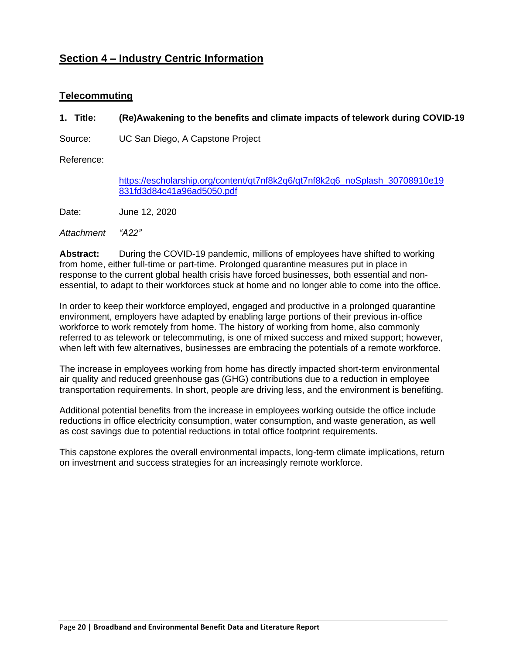# <span id="page-19-0"></span>**Section 4 – Industry Centric Information**

### <span id="page-19-1"></span>**Telecommuting**

#### **1. Title: (Re)Awakening to the benefits and climate impacts of telework during COVID-19**

Source: UC San Diego, A Capstone Project

Reference:

[https://escholarship.org/content/qt7nf8k2q6/qt7nf8k2q6\\_noSplash\\_30708910e19](https://escholarship.org/content/qt7nf8k2q6/qt7nf8k2q6_noSplash_30708910e19831fd3d84c41a96ad5050.pdf) [831fd3d84c41a96ad5050.pdf](https://escholarship.org/content/qt7nf8k2q6/qt7nf8k2q6_noSplash_30708910e19831fd3d84c41a96ad5050.pdf)

Date: June 12, 2020

*Attachment "A22"*

**Abstract:** During the COVID-19 pandemic, millions of employees have shifted to working from home, either full-time or part-time. Prolonged quarantine measures put in place in response to the current global health crisis have forced businesses, both essential and nonessential, to adapt to their workforces stuck at home and no longer able to come into the office.

In order to keep their workforce employed, engaged and productive in a prolonged quarantine environment, employers have adapted by enabling large portions of their previous in-office workforce to work remotely from home. The history of working from home, also commonly referred to as telework or telecommuting, is one of mixed success and mixed support; however, when left with few alternatives, businesses are embracing the potentials of a remote workforce.

The increase in employees working from home has directly impacted short-term environmental air quality and reduced greenhouse gas (GHG) contributions due to a reduction in employee transportation requirements. In short, people are driving less, and the environment is benefiting.

Additional potential benefits from the increase in employees working outside the office include reductions in office electricity consumption, water consumption, and waste generation, as well as cost savings due to potential reductions in total office footprint requirements.

This capstone explores the overall environmental impacts, long-term climate implications, return on investment and success strategies for an increasingly remote workforce.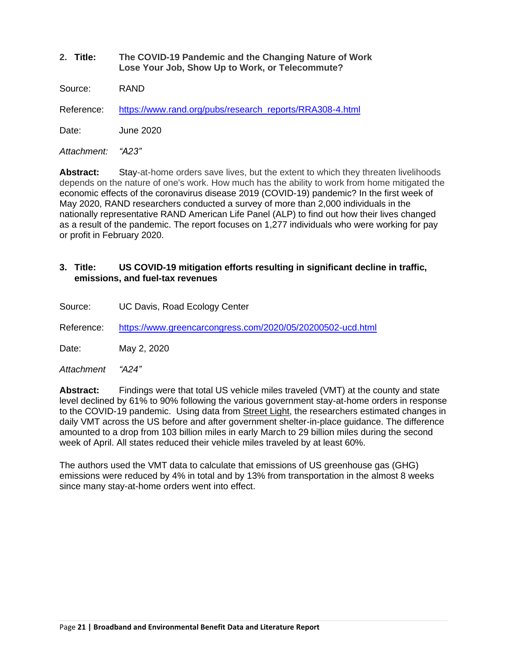**2. Title: The COVID-19 Pandemic and the Changing Nature of Work Lose Your Job, Show Up to Work, or Telecommute?**

Source: RAND

Reference: [https://www.rand.org/pubs/research\\_reports/RRA308-4.html](https://www.rand.org/pubs/research_reports/RRA308-4.html)

Date: June 2020

*Attachment: "A23"*

**Abstract:** Stay-at-home orders save lives, but the extent to which they threaten livelihoods depends on the nature of one's work. How much has the ability to work from home mitigated the economic effects of the coronavirus disease 2019 (COVID-19) pandemic? In the first week of May 2020, RAND researchers conducted a survey of more than 2,000 individuals in the nationally representative RAND American Life Panel (ALP) to find out how their lives changed as a result of the pandemic. The report focuses on 1,277 individuals who were working for pay or profit in February 2020.

#### **3. Title: US COVID-19 mitigation efforts resulting in significant decline in traffic, emissions, and fuel-tax revenues**

Source: UC Davis, Road Ecology Center

Reference: <https://www.greencarcongress.com/2020/05/20200502-ucd.html>

Date: May 2, 2020

*Attachment "A24"*

**Abstract:** Findings were that total US vehicle miles traveled (VMT) at the county and state level declined by 61% to 90% following the various government stay-at-home orders in response to the COVID-19 pandemic. Using data from [Street](https://www.streetlightdata.com/) Light, the researchers estimated changes in daily VMT across the US before and after government shelter-in-place guidance. The difference amounted to a drop from 103 billion miles in early March to 29 billion miles during the second week of April. All states reduced their vehicle miles traveled by at least 60%.

The authors used the VMT data to calculate that emissions of US greenhouse gas (GHG) emissions were reduced by 4% in total and by 13% from transportation in the almost 8 weeks since many stay-at-home orders went into effect.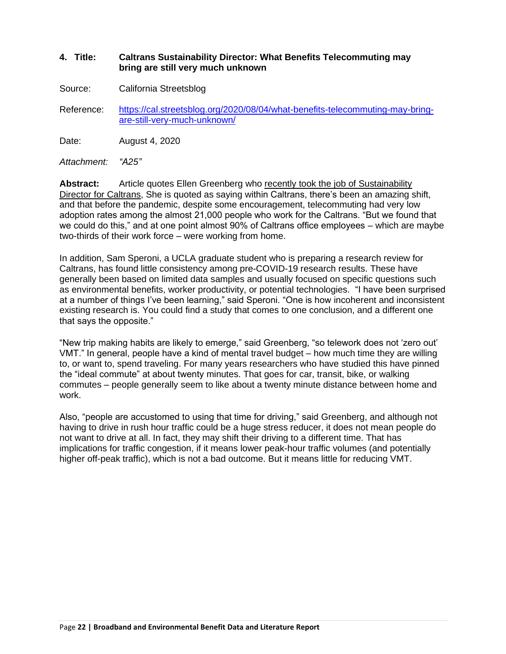#### **4. Title: Caltrans Sustainability Director: What Benefits Telecommuting may bring are still very much unknown**

Source: California Streetsblog

Reference: [https://cal.streetsblog.org/2020/08/04/what-benefits-telecommuting-may-bring](https://cal.streetsblog.org/2020/08/04/what-benefits-telecommuting-may-bring-are-still-very-much-unknown/)[are-still-very-much-unknown/](https://cal.streetsblog.org/2020/08/04/what-benefits-telecommuting-may-bring-are-still-very-much-unknown/)

Date: August 4, 2020

*Attachment: "A25"*

**Abstract:** Article quotes Ellen Greenberg who [recently took the job of Sustainability](http://cal.streetsblog.org/2016/11/15/caltrans-fills-sustainability-director-post-congratulations-ellen-greenberg/)  [Director for Caltrans,](http://cal.streetsblog.org/2016/11/15/caltrans-fills-sustainability-director-post-congratulations-ellen-greenberg/) She is quoted as saying within Caltrans, there's been an amazing shift, and that before the pandemic, despite some encouragement, telecommuting had very low adoption rates among the almost 21,000 people who work for the Caltrans. "But we found that we could do this," and at one point almost 90% of Caltrans office employees – which are maybe two-thirds of their work force – were working from home.

In addition, Sam Speroni, a UCLA graduate student who is preparing a research review for Caltrans, has found little consistency among pre-COVID-19 research results. These have generally been based on limited data samples and usually focused on specific questions such as environmental benefits, worker productivity, or potential technologies. "I have been surprised at a number of things I've been learning," said Speroni. "One is how incoherent and inconsistent existing research is. You could find a study that comes to one conclusion, and a different one that says the opposite."

"New trip making habits are likely to emerge," said Greenberg, "so telework does not 'zero out' VMT." In general, people have a kind of mental travel budget – how much time they are willing to, or want to, spend traveling. [For many years researchers who have studied this have pinned](https://www.detailswork.com/articles/science-says-this-is-the-ideal-commute-time)  [the "ideal commute" at about twenty](https://www.detailswork.com/articles/science-says-this-is-the-ideal-commute-time) minutes. That goes for car, transit, bike, or walking commutes – people generally seem to like about a twenty minute distance between home and work.

Also, "people are accustomed to using that time for driving," said Greenberg, and although not having to drive in rush hour traffic could be a huge stress reducer, it does not mean people do not want to drive at all. In fact, they may shift their driving to a different time. That has implications for traffic congestion, if it means lower peak-hour traffic volumes (and potentially higher off-peak traffic), which is not a bad outcome. But it means little for reducing VMT.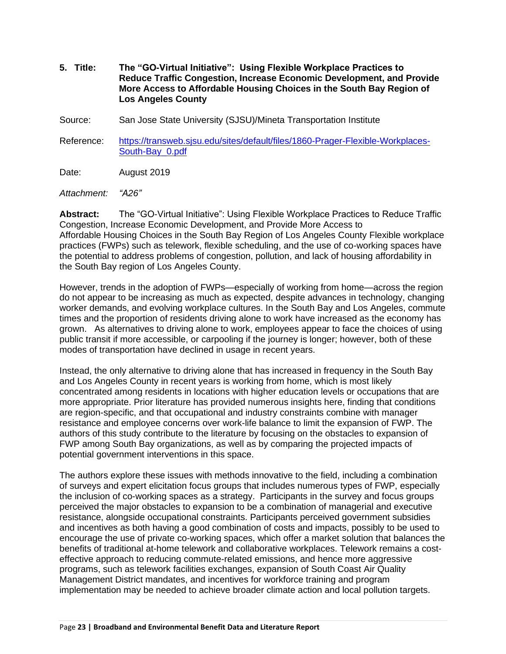- **5. Title: The "GO-Virtual Initiative": Using Flexible Workplace Practices to Reduce Traffic Congestion, Increase Economic Development, and Provide More Access to Affordable Housing Choices in the South Bay Region of Los Angeles County**
- Source: San Jose State University (SJSU)/Mineta Transportation Institute
- Reference: [https://transweb.sjsu.edu/sites/default/files/1860-Prager-Flexible-Workplaces-](https://transweb.sjsu.edu/sites/default/files/1860-Prager-Flexible-Workplaces-South-Bay_0.pdf)[South-Bay\\_0.pdf](https://transweb.sjsu.edu/sites/default/files/1860-Prager-Flexible-Workplaces-South-Bay_0.pdf)
- Date: August 2019
- *Attachment: "A26"*

**Abstract:** The "GO-Virtual Initiative": Using Flexible Workplace Practices to Reduce Traffic Congestion, Increase Economic Development, and Provide More Access to Affordable Housing Choices in the South Bay Region of Los Angeles County Flexible workplace practices (FWPs) such as telework, flexible scheduling, and the use of co-working spaces have the potential to address problems of congestion, pollution, and lack of housing affordability in the South Bay region of Los Angeles County.

However, trends in the adoption of FWPs—especially of working from home—across the region do not appear to be increasing as much as expected, despite advances in technology, changing worker demands, and evolving workplace cultures. In the South Bay and Los Angeles, commute times and the proportion of residents driving alone to work have increased as the economy has grown. As alternatives to driving alone to work, employees appear to face the choices of using public transit if more accessible, or carpooling if the journey is longer; however, both of these modes of transportation have declined in usage in recent years.

Instead, the only alternative to driving alone that has increased in frequency in the South Bay and Los Angeles County in recent years is working from home, which is most likely concentrated among residents in locations with higher education levels or occupations that are more appropriate. Prior literature has provided numerous insights here, finding that conditions are region-specific, and that occupational and industry constraints combine with manager resistance and employee concerns over work-life balance to limit the expansion of FWP. The authors of this study contribute to the literature by focusing on the obstacles to expansion of FWP among South Bay organizations, as well as by comparing the projected impacts of potential government interventions in this space.

The authors explore these issues with methods innovative to the field, including a combination of surveys and expert elicitation focus groups that includes numerous types of FWP, especially the inclusion of co-working spaces as a strategy. Participants in the survey and focus groups perceived the major obstacles to expansion to be a combination of managerial and executive resistance, alongside occupational constraints. Participants perceived government subsidies and incentives as both having a good combination of costs and impacts, possibly to be used to encourage the use of private co-working spaces, which offer a market solution that balances the benefits of traditional at-home telework and collaborative workplaces. Telework remains a costeffective approach to reducing commute-related emissions, and hence more aggressive programs, such as telework facilities exchanges, expansion of South Coast Air Quality Management District mandates, and incentives for workforce training and program implementation may be needed to achieve broader climate action and local pollution targets.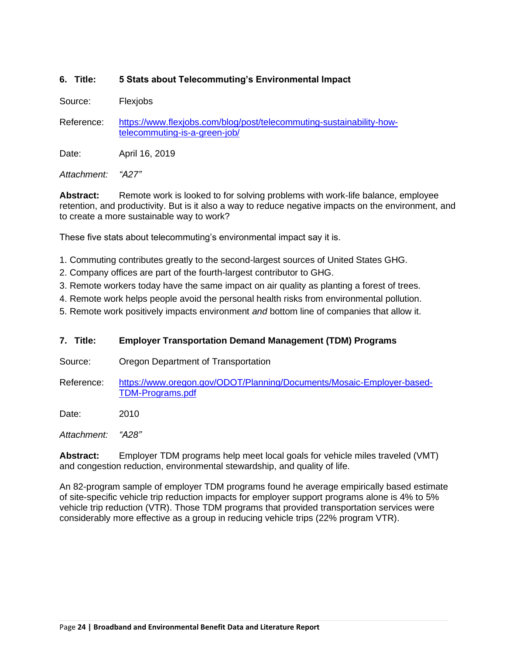### **6. Title: 5 Stats about Telecommuting's Environmental Impact**

Source: Flexjobs

Reference: [https://www.flexjobs.com/blog/post/telecommuting-sustainability-how](https://www.flexjobs.com/blog/post/telecommuting-sustainability-how-telecommuting-is-a-green-job/)[telecommuting-is-a-green-job/](https://www.flexjobs.com/blog/post/telecommuting-sustainability-how-telecommuting-is-a-green-job/)

Date: April 16, 2019

*Attachment: "A27"*

**Abstract:** Remote work is looked to for solving problems with work-life balance, employee retention, and productivity. But is it also a way to reduce negative impacts on the environment, and to create a more sustainable way to work?

These five stats about telecommuting's environmental impact say it is.

- 1. Commuting contributes greatly to the second-largest sources of United States GHG.
- 2. Company offices are part of the fourth-largest contributor to GHG.
- 3. Remote workers today have the same impact on air quality as planting a forest of trees.
- 4. Remote work helps people avoid the personal health risks from environmental pollution.
- 5. Remote work positively impacts environment *and* bottom line of companies that allow it.

#### **7. Title: Employer Transportation Demand Management (TDM) Programs**

- Source: Oregon Department of Transportation
- Reference: [https://www.oregon.gov/ODOT/Planning/Documents/Mosaic-Employer-based-](https://www.oregon.gov/ODOT/Planning/Documents/Mosaic-Employer-based-TDM-Programs.pdf)[TDM-Programs.pdf](https://www.oregon.gov/ODOT/Planning/Documents/Mosaic-Employer-based-TDM-Programs.pdf)

Date: 2010

*Attachment: "A28"*

**Abstract:** Employer TDM programs help meet local goals for vehicle miles traveled (VMT) and congestion reduction, environmental stewardship, and quality of life.

An 82-program sample of employer TDM programs found he average empirically based estimate of site-specific vehicle trip reduction impacts for employer support programs alone is 4% to 5% vehicle trip reduction (VTR). Those TDM programs that provided transportation services were considerably more effective as a group in reducing vehicle trips (22% program VTR).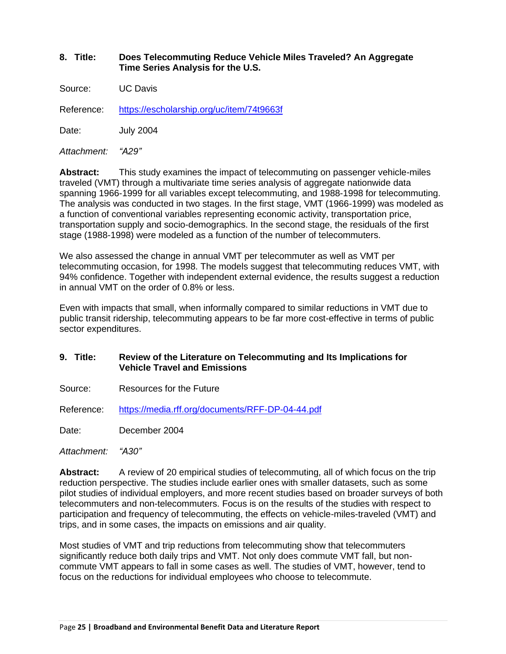#### **8. Title: Does Telecommuting Reduce Vehicle Miles Traveled? An Aggregate Time Series Analysis for the U.S.**

Source: UC Davis

Reference: <https://escholarship.org/uc/item/74t9663f>

Date: July 2004

*Attachment: "A29"*

**Abstract:** This study examines the impact of telecommuting on passenger vehicle-miles traveled (VMT) through a multivariate time series analysis of aggregate nationwide data spanning 1966-1999 for all variables except telecommuting, and 1988-1998 for telecommuting. The analysis was conducted in two stages. In the first stage, VMT (1966-1999) was modeled as a function of conventional variables representing economic activity, transportation price, transportation supply and socio-demographics. In the second stage, the residuals of the first stage (1988-1998) were modeled as a function of the number of telecommuters.

We also assessed the change in annual VMT per telecommuter as well as VMT per telecommuting occasion, for 1998. The models suggest that telecommuting reduces VMT, with 94% confidence. Together with independent external evidence, the results suggest a reduction in annual VMT on the order of 0.8% or less.

Even with impacts that small, when informally compared to similar reductions in VMT due to public transit ridership, telecommuting appears to be far more cost-effective in terms of public sector expenditures.

- **9. Title: Review of the Literature on Telecommuting and Its Implications for Vehicle Travel and Emissions**
- Source: Resources for the Future

Reference: <https://media.rff.org/documents/RFF-DP-04-44.pdf>

Date: December 2004

*Attachment: "A30"*

**Abstract:** A review of 20 empirical studies of telecommuting, all of which focus on the trip reduction perspective. The studies include earlier ones with smaller datasets, such as some pilot studies of individual employers, and more recent studies based on broader surveys of both telecommuters and non-telecommuters. Focus is on the results of the studies with respect to participation and frequency of telecommuting, the effects on vehicle-miles-traveled (VMT) and trips, and in some cases, the impacts on emissions and air quality.

Most studies of VMT and trip reductions from telecommuting show that telecommuters significantly reduce both daily trips and VMT. Not only does commute VMT fall, but noncommute VMT appears to fall in some cases as well. The studies of VMT, however, tend to focus on the reductions for individual employees who choose to telecommute.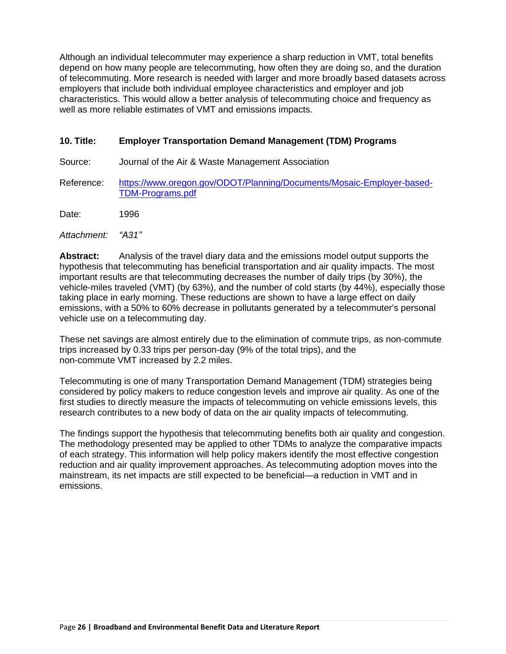Although an individual telecommuter may experience a sharp reduction in VMT, total benefits depend on how many people are telecommuting, how often they are doing so, and the duration of telecommuting. More research is needed with larger and more broadly based datasets across employers that include both individual employee characteristics and employer and job characteristics. This would allow a better analysis of telecommuting choice and frequency as well as more reliable estimates of VMT and emissions impacts.

#### **10. Title: Employer Transportation Demand Management (TDM) Programs**

Source: Journal of the Air & Waste Management Association

Reference: [https://www.oregon.gov/ODOT/Planning/Documents/Mosaic-Employer-based-](https://www.oregon.gov/ODOT/Planning/Documents/Mosaic-Employer-based-TDM-Programs.pdf)[TDM-Programs.pdf](https://www.oregon.gov/ODOT/Planning/Documents/Mosaic-Employer-based-TDM-Programs.pdf)

Date: 1996

*Attachment: "A31"*

**Abstract:** Analysis of the travel diary data and the emissions model output supports the hypothesis that telecommuting has beneficial transportation and air quality impacts. The most important results are that telecommuting decreases the number of daily trips (by 30%), the vehicle-miles traveled (VMT) (by 63%), and the number of cold starts (by 44%), especially those taking place in early morning. These reductions are shown to have a large effect on daily emissions, with a 50% to 60% decrease in pollutants generated by a telecommuter's personal vehicle use on a telecommuting day.

These net savings are almost entirely due to the elimination of commute trips, as non-commute trips increased by 0.33 trips per person-day (9% of the total trips), and the non-commute VMT increased by 2.2 miles.

Telecommuting is one of many Transportation Demand Management (TDM) strategies being considered by policy makers to reduce congestion levels and improve air quality. As one of the first studies to directly measure the impacts of telecommuting on vehicle emissions levels, this research contributes to a new body of data on the air quality impacts of telecommuting.

The findings support the hypothesis that telecommuting benefits both air quality and congestion. The methodology presented may be applied to other TDMs to analyze the comparative impacts of each strategy. This information will help policy makers identify the most effective congestion reduction and air quality improvement approaches. As telecommuting adoption moves into the mainstream, its net impacts are still expected to be beneficial—a reduction in VMT and in emissions.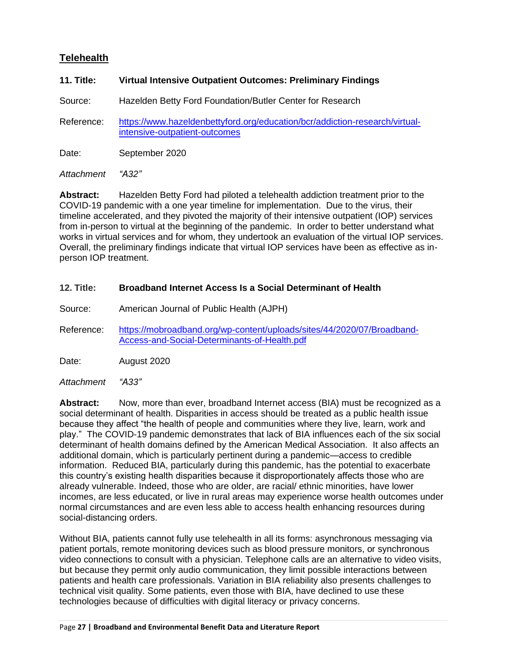# <span id="page-26-0"></span>**Telehealth**

#### **11. Title: Virtual Intensive Outpatient Outcomes: Preliminary Findings**

Source: Hazelden Betty Ford Foundation/Butler Center for Research

Reference: [https://www.hazeldenbettyford.org/education/bcr/addiction-research/virtual](https://www.hazeldenbettyford.org/education/bcr/addiction-research/virtual-intensive-outpatient-outcomes)[intensive-outpatient-outcomes](https://www.hazeldenbettyford.org/education/bcr/addiction-research/virtual-intensive-outpatient-outcomes)

Date: September 2020

*Attachment "A32"*

**Abstract:** Hazelden Betty Ford had piloted a telehealth addiction treatment prior to the COVID-19 pandemic with a one year timeline for implementation. Due to the virus, their timeline accelerated, and they pivoted the majority of their intensive outpatient (IOP) services from in-person to virtual at the beginning of the pandemic. In order to better understand what works in virtual services and for whom, they undertook an evaluation of the virtual IOP services. Overall, the preliminary findings indicate that virtual IOP services have been as effective as inperson IOP treatment.

#### **12. Title: Broadband Internet Access Is a Social Determinant of Health**

- Source: American Journal of Public Health (AJPH)
- Reference: [https://mobroadband.org/wp-content/uploads/sites/44/2020/07/Broadband-](https://mobroadband.org/wp-content/uploads/sites/44/2020/07/Broadband-Access-and-Social-Determinants-of-Health.pdf)[Access-and-Social-Determinants-of-Health.pdf](https://mobroadband.org/wp-content/uploads/sites/44/2020/07/Broadband-Access-and-Social-Determinants-of-Health.pdf)

Date: August 2020

*Attachment "A33"*

**Abstract:** Now, more than ever, broadband Internet access (BIA) must be recognized as a social determinant of health. Disparities in access should be treated as a public health issue because they affect "the health of people and communities where they live, learn, work and play." The COVID-19 pandemic demonstrates that lack of BIA influences each of the six social determinant of health domains defined by the American Medical Association. It also affects an additional domain, which is particularly pertinent during a pandemic—access to credible information. Reduced BIA, particularly during this pandemic, has the potential to exacerbate this country's existing health disparities because it disproportionately affects those who are already vulnerable. Indeed, those who are older, are racial/ ethnic minorities, have lower incomes, are less educated, or live in rural areas may experience worse health outcomes under normal circumstances and are even less able to access health enhancing resources during social-distancing orders.

Without BIA, patients cannot fully use telehealth in all its forms: asynchronous messaging via patient portals, remote monitoring devices such as blood pressure monitors, or synchronous video connections to consult with a physician. Telephone calls are an alternative to video visits, but because they permit only audio communication, they limit possible interactions between patients and health care professionals. Variation in BIA reliability also presents challenges to technical visit quality. Some patients, even those with BIA, have declined to use these technologies because of difficulties with digital literacy or privacy concerns.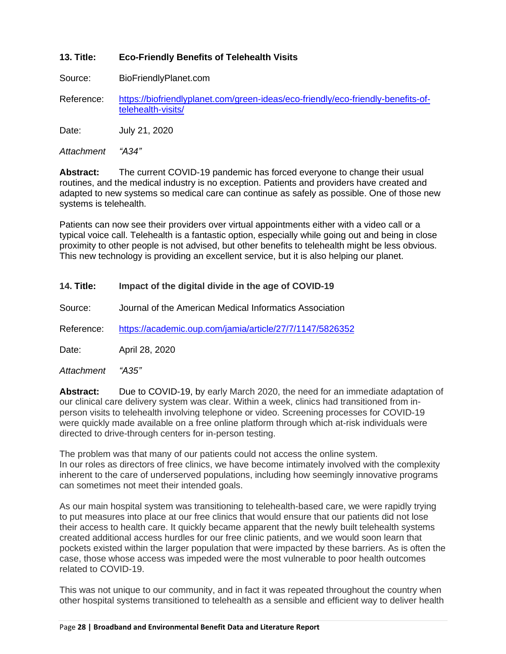#### **13. Title: Eco-Friendly Benefits of Telehealth Visits**

Source: BioFriendlyPlanet.com

Reference: [https://biofriendlyplanet.com/green-ideas/eco-friendly/eco-friendly-benefits-of](https://biofriendlyplanet.com/green-ideas/eco-friendly/eco-friendly-benefits-of-telehealth-visits/)[telehealth-visits/](https://biofriendlyplanet.com/green-ideas/eco-friendly/eco-friendly-benefits-of-telehealth-visits/)

Date: July 21, 2020

*Attachment "A34"*

**Abstract:** The current COVID-19 pandemic has forced everyone to change their usual routines, and the medical industry is no exception. Patients and providers have created and adapted to new systems so medical care can continue as safely as possible. One of those new systems is telehealth.

Patients can now see their providers over virtual appointments either with a video call or a typical voice call. Telehealth is a fantastic option, especially while going out and being in close proximity to other people is not advised, but other benefits to telehealth might be less obvious. This new technology is providing an excellent service, but it is also helping our planet.

#### **14. Title: Impact of the digital divide in the age of COVID-19**

Source: Journal of the American Medical Informatics Association

Reference: <https://academic.oup.com/jamia/article/27/7/1147/5826352>

Date: April 28, 2020

*Attachment "A35"*

**Abstract:** Due to COVID-19, by early March 2020, the need for an immediate adaptation of our clinical care delivery system was clear. Within a week, clinics had transitioned from inperson visits to telehealth involving telephone or video. Screening processes for COVID-19 were quickly made available on a free online platform through which at-risk individuals were directed to drive-through centers for in-person testing.

The problem was that many of our patients could not access the online system. In our roles as directors of free clinics, we have become intimately involved with the complexity inherent to the care of underserved populations, including how seemingly innovative programs can sometimes not meet their intended goals.

As our main hospital system was transitioning to telehealth-based care, we were rapidly trying to put measures into place at our free clinics that would ensure that our patients did not lose their access to health care. It quickly became apparent that the newly built telehealth systems created additional access hurdles for our free clinic patients, and we would soon learn that pockets existed within the larger population that were impacted by these barriers. As is often the case, those whose access was impeded were the most vulnerable to poor health outcomes related to COVID-19.

This was not unique to our community, and in fact it was repeated throughout the country when other hospital systems transitioned to telehealth as a sensible and efficient way to deliver health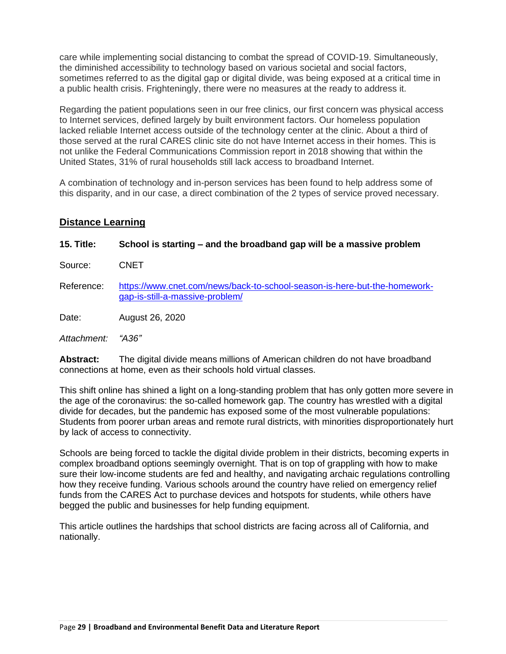care while implementing social distancing to combat the spread of COVID-19. Simultaneously, the diminished accessibility to technology based on various societal and social factors, sometimes referred to as the digital gap or digital divide, was being exposed at a critical time in a public health crisis. Frighteningly, there were no measures at the ready to address it.

Regarding the patient populations seen in our free clinics, our first concern was physical access to Internet services, defined largely by built environment factors. Our homeless population lacked reliable Internet access outside of the technology center at the clinic. About a third of those served at the rural CARES clinic site do not have Internet access in their homes. This is not unlike the Federal Communications Commission report in 2018 showing that within the United States, 31% of rural households still lack access to broadband Internet.

A combination of technology and in-person services has been found to help address some of this disparity, and in our case, a direct combination of the 2 types of service proved necessary.

### <span id="page-28-0"></span>**Distance Learning**

| 15. Title:  | School is starting – and the broadband gap will be a massive problem                                         |
|-------------|--------------------------------------------------------------------------------------------------------------|
| Source:     | <b>CNET</b>                                                                                                  |
| Reference:  | https://www.cnet.com/news/back-to-school-season-is-here-but-the-homework-<br>gap-is-still-a-massive-problem/ |
| Date:       | August 26, 2020                                                                                              |
| Attachment: | "A36"                                                                                                        |
|             |                                                                                                              |

**Abstract:** The digital divide means millions of American children do not have broadband connections at home, even as their schools hold virtual classes.

This shift online has shined a light on a long-standing problem that has only gotten more severe in the age of the coronavirus: the so-called homework gap. The country has wrestled with a digital divide for decades, but the pandemic has exposed some of the most vulnerable populations: Students from poorer urban areas and remote rural districts, with minorities disproportionately hurt by lack of access to connectivity.

Schools are being forced to tackle the digital divide problem in their districts, becoming experts in complex broadband options seemingly overnight. That is on top of grappling with how to make sure their low-income students are fed and healthy, and navigating archaic regulations controlling how they receive funding. Various schools around the country have relied on emergency relief funds from the CARES Act to purchase devices and hotspots for students, while [others have](https://www.charlotteagenda.com/228601/cms-estimates-18000-students-could-still-need-internet-access/?fbclid=IwAR1RidNIedYnq7w9C11eL6DF32YKFJw_qdkmjsTR2SJ-LpOtvEk67lOkcBc)  [begged the public and businesses for help funding equipment.](https://www.charlotteagenda.com/228601/cms-estimates-18000-students-could-still-need-internet-access/?fbclid=IwAR1RidNIedYnq7w9C11eL6DF32YKFJw_qdkmjsTR2SJ-LpOtvEk67lOkcBc)

This article outlines the hardships that school districts are facing across all of California, and nationally.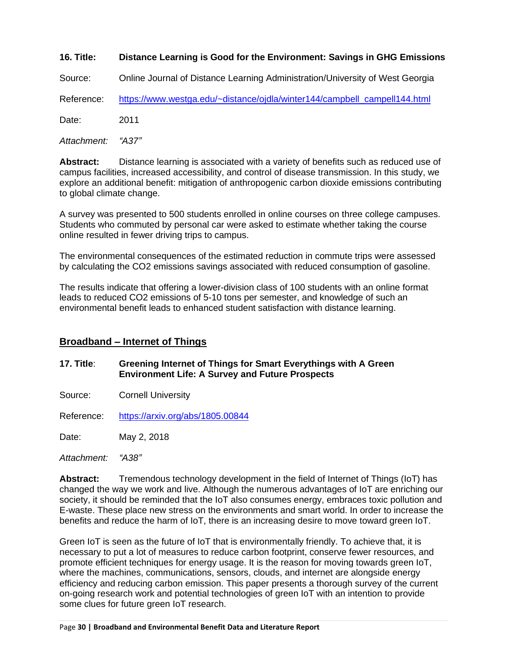#### **16. Title: Distance Learning is Good for the Environment: Savings in GHG Emissions**

Source: Online Journal of Distance Learning Administration/University of West Georgia

Reference: [https://www.westga.edu/~distance/ojdla/winter144/campbell\\_campell144.html](https://www.westga.edu/~distance/ojdla/winter144/campbell_campell144.html)

Date: 2011

*Attachment: "A37"*

**Abstract:** Distance learning is associated with a variety of benefits such as reduced use of campus facilities, increased accessibility, and control of disease transmission. In this study, we explore an additional benefit: mitigation of anthropogenic carbon dioxide emissions contributing to global climate change.

A survey was presented to 500 students enrolled in online courses on three college campuses. Students who commuted by personal car were asked to estimate whether taking the course online resulted in fewer driving trips to campus.

The environmental consequences of the estimated reduction in commute trips were assessed by calculating the CO2 emissions savings associated with reduced consumption of gasoline.

The results indicate that offering a lower-division class of 100 students with an online format leads to reduced CO2 emissions of 5-10 tons per semester, and knowledge of such an environmental benefit leads to enhanced student satisfaction with distance learning.

#### <span id="page-29-0"></span>**Broadband – Internet of Things**

#### **17. Title**: **Greening Internet of Things for Smart Everythings with A Green Environment Life: A Survey and Future Prospects**

Source: Cornell University

Reference: <https://arxiv.org/abs/1805.00844>

Date: May 2, 2018

*Attachment: "A38"*

**Abstract:** Tremendous technology development in the field of Internet of Things (IoT) has changed the way we work and live. Although the numerous advantages of IoT are enriching our society, it should be reminded that the IoT also consumes energy, embraces toxic pollution and E-waste. These place new stress on the environments and smart world. In order to increase the benefits and reduce the harm of IoT, there is an increasing desire to move toward green IoT.

Green IoT is seen as the future of IoT that is environmentally friendly. To achieve that, it is necessary to put a lot of measures to reduce carbon footprint, conserve fewer resources, and promote efficient techniques for energy usage. It is the reason for moving towards green IoT, where the machines, communications, sensors, clouds, and internet are alongside energy efficiency and reducing carbon emission. This paper presents a thorough survey of the current on-going research work and potential technologies of green IoT with an intention to provide some clues for future green IoT research.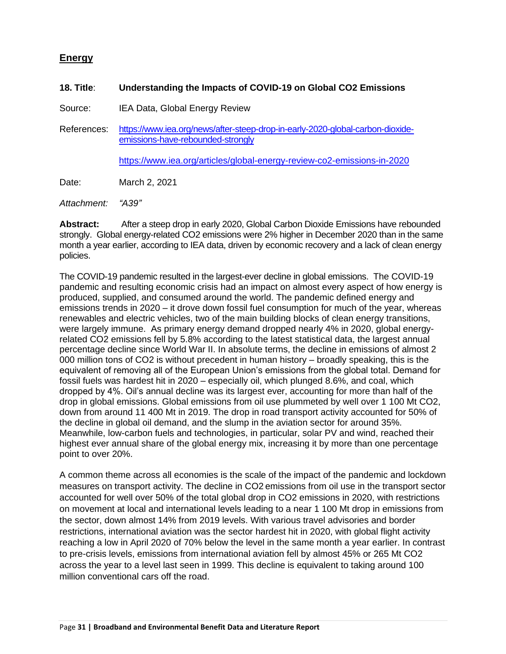### <span id="page-30-0"></span>**Energy**

#### **18. Title**: **Understanding the Impacts of COVID-19 on Global CO2 Emissions**

Source: IEA Data, Global Energy Review

References: [https://www.iea.org/news/after-steep-drop-in-early-2020-global-carbon-dioxide](https://www.iea.org/news/after-steep-drop-in-early-2020-global-carbon-dioxide-emissions-have-rebounded-strongly)[emissions-have-rebounded-strongly](https://www.iea.org/news/after-steep-drop-in-early-2020-global-carbon-dioxide-emissions-have-rebounded-strongly)

<https://www.iea.org/articles/global-energy-review-co2-emissions-in-2020>

Date: March 2, 2021

*Attachment: "A39"*

**Abstract:** After a steep drop in early 2020, Global Carbon Dioxide Emissions have rebounded strongly. Global energy-related CO2 emissions were 2% higher in December 2020 than in the same month a year earlier, according to IEA data, driven by economic recovery and a lack of clean energy policies.

The COVID-19 pandemic resulted in the largest-ever decline in global emissions. The COVID-19 pandemic and resulting economic crisis had an impact on almost every aspect of how energy is produced, supplied, and consumed around the world. The pandemic defined energy and emissions trends in 2020 – it drove down fossil fuel consumption for much of the year, whereas renewables and electric vehicles, two of the main building blocks of clean energy transitions, were largely immune. As primary energy demand dropped nearly 4% in 2020, global energyrelated CO2 emissions fell by 5.8% according to the latest statistical data, the largest annual percentage decline since World War II. In absolute terms, the decline in emissions of almost 2 000 million tons of CO2 is without precedent in human history – broadly speaking, this is the equivalent of removing all of the European Union's emissions from the global total. Demand for fossil fuels was hardest hit in 2020 – especially oil, which plunged 8.6%, and coal, which dropped by 4%. Oil's annual decline was its largest ever, accounting for more than half of the drop in global emissions. Global emissions from oil use plummeted by well over 1 100 Mt CO2, down from around 11 400 Mt in 2019. The drop in road transport activity accounted for 50% of the decline in global oil demand, and the slump in the aviation sector for around 35%. Meanwhile, low-carbon fuels and technologies, in particular, solar PV and wind, reached their highest ever annual share of the global energy mix, increasing it by more than one percentage point to over 20%.

A common theme across all economies is the scale of the impact of the pandemic and lockdown measures on transport activity. The decline in CO2 emissions from oil use in the transport sector accounted for well over 50% of the total global drop in CO2 emissions in 2020, with restrictions on movement at local and international levels leading to a near 1 100 Mt drop in emissions from the sector, down almost 14% from 2019 levels. With various travel advisories and border restrictions, international aviation was the sector hardest hit in 2020, with global flight activity reaching a low in April 2020 of 70% below the level in the same month a year earlier. In contrast to pre-crisis levels, emissions from international aviation fell by almost 45% or 265 Mt CO2 across the year to a level last seen in 1999. This decline is equivalent to taking around 100 million conventional cars off the road.